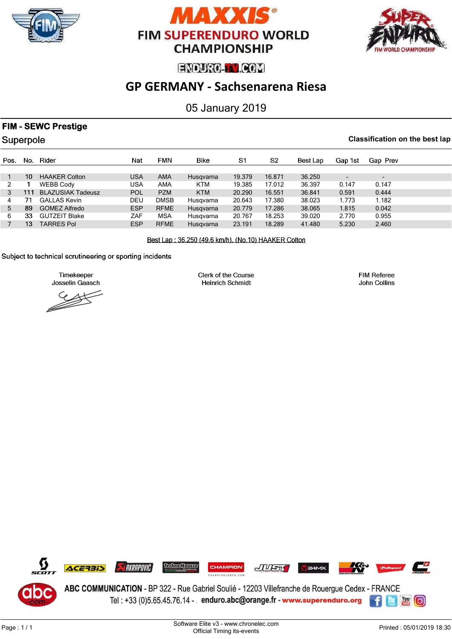





# **GP GERMANY - Sachsenarena Riesa**

## 05 January 2019

## **FIM - SEWC Prestige**

Superpole

#### **Classification on the best lap**

| Pos. | No.             | Rider                    | Nat        | FMN         | Bike       | S1     | S2     | Best Lap | Gap 1st                  | Gap Prev                 |
|------|-----------------|--------------------------|------------|-------------|------------|--------|--------|----------|--------------------------|--------------------------|
|      |                 |                          |            |             |            |        |        |          |                          |                          |
|      | 10 <sup>1</sup> | <b>HAAKER Colton</b>     | <b>USA</b> | AMA         | Husqvarna  | 19.379 | 16.871 | 36.250   | $\overline{\phantom{0}}$ | $\overline{\phantom{a}}$ |
|      |                 | <b>WEBB Cody</b>         | USA        | AMA         | <b>KTM</b> | 19.385 | 17.012 | 36.397   | 0.147                    | 0.147                    |
|      | 111             | <b>BLAZUSIAK Tadeusz</b> | <b>POL</b> | <b>PZM</b>  | <b>KTM</b> | 20.290 | 16.551 | 36.841   | 0.591                    | 0.444                    |
| 4    | 71              | <b>GALLAS Kevin</b>      | DEU        | <b>DMSB</b> | Husgvarna  | 20.643 | 17.380 | 38.023   | 1.773                    | 1.182                    |
| 5    | 89              | <b>GOMEZ Alfredo</b>     | <b>ESP</b> | <b>RFME</b> | Husqvarna  | 20.779 | 17.286 | 38.065   | 1.815                    | 0.042                    |
| 6    | 33              | <b>GUTZEIT Blake</b>     | ZAF        | <b>MSA</b>  | Husgvarna  | 20.767 | 18.253 | 39.020   | 2.770                    | 0.955                    |
|      | 13              | <b>TARRES Pol</b>        | <b>ESP</b> | <b>RFME</b> | Husgvarna  | 23.191 | 18.289 | 41.480   | 5.230                    | 2.460                    |
|      |                 |                          |            |             |            |        |        |          |                          |                          |

Best Lap: 36.250 (49.6 km/h), (No.10) HAAKER Colton

Subject to technical scrutineering or sporting incidents

Timekeeper Josselin Gaasch

Clerk of the Course **Heinrich Schmidt** 

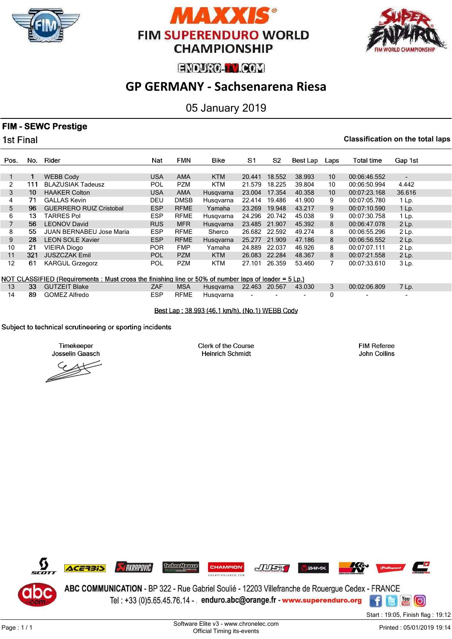





# **GP GERMANY - Sachsenarena Riesa**

05 January 2019

### **FIM - SEWC Prestige**

1st Final

#### **Classification on the total laps**

| Pos.              | No.                                                                                                   | Rider                           | Nat        | <b>FMN</b>  | Bike       | S1            | S2     | Best Lap | Laps            | <b>Total time</b> | Gap 1st |  |
|-------------------|-------------------------------------------------------------------------------------------------------|---------------------------------|------------|-------------|------------|---------------|--------|----------|-----------------|-------------------|---------|--|
|                   |                                                                                                       |                                 |            |             |            |               |        |          |                 |                   |         |  |
|                   |                                                                                                       | <b>WEBB Cody</b>                | <b>USA</b> | <b>AMA</b>  | <b>KTM</b> | 20.441        | 18.552 | 38.993   | 10              | 00:06:46.552      | ٠       |  |
| $\overline{2}$    | 111                                                                                                   | <b>BLAZUSIAK Tadeusz</b>        | <b>POL</b> | <b>PZM</b>  | <b>KTM</b> | 21.579        | 18.225 | 39.804   | 10              | 00:06:50.994      | 4.442   |  |
| 3                 | 10                                                                                                    | <b>HAAKER Colton</b>            | <b>USA</b> | <b>AMA</b>  | Husqvarna  | 23.004        | 17.354 | 40.358   | 10 <sup>°</sup> | 00:07:23.168      | 36.616  |  |
| 4                 | 71                                                                                                    | <b>GALLAS Kevin</b>             | <b>DEU</b> | <b>DMSB</b> | Husgvarna  | 22.414        | 19.486 | 41.900   | 9               | 00:07:05.780      | $1$ Lp. |  |
| 5                 | 96                                                                                                    | <b>GUERRERO RUIZ Cristobal</b>  | <b>ESP</b> | <b>RFME</b> | Yamaha     | 23.269        | 19.948 | 43.217   | 9               | 00:07:10.590      | $1$ Lp. |  |
| 6                 | 13                                                                                                    | <b>TARRES Pol</b>               | <b>ESP</b> | <b>RFME</b> | Husgvarna  | 24.296        | 20.742 | 45.038   | 9               | 00:07:30.758      | $1$ Lp. |  |
|                   | 56                                                                                                    | <b>LEONOV David</b>             | <b>RUS</b> | <b>MFR</b>  | Husgvarna  | 23.485        | 21.907 | 45.392   | 8               | 00:06:47.078      | $2$ Lp. |  |
| 8                 | 55                                                                                                    | <b>JUAN BERNABEU Jose Maria</b> | <b>ESP</b> | <b>RFME</b> | Sherco     | 26.682 22.592 |        | 49.274   | 8               | 00:06:55.296      | $2$ Lp. |  |
| 9                 | 28                                                                                                    | <b>LEON SOLE Xavier</b>         | <b>ESP</b> | <b>RFME</b> | Husgvarna  | 25.277        | 21.909 | 47.186   | 8               | 00:06:56.552      | $2$ Lp. |  |
| 10                | 21                                                                                                    | <b>VIEIRA Diogo</b>             | <b>POR</b> | <b>FMP</b>  | Yamaha     | 24.889        | 22.037 | 46.926   | 8               | 00:07:07.111      | 2 Lp.   |  |
| 11                | 321                                                                                                   | <b>JUSZCZAK Emil</b>            | <b>POL</b> | <b>PZM</b>  | <b>KTM</b> | 26.083        | 22.284 | 48.367   | 8               | 00:07:21.558      | $2$ Lp. |  |
| $12 \overline{ }$ | 61                                                                                                    | <b>KARGUL Grzegorz</b>          | <b>POL</b> | <b>PZM</b>  | KTM        | 27.101        | 26.359 | 53.460   | 7               | 00:07:33.610      | $3$ Lp. |  |
|                   | NOT CLASSIFIED (Requirements : Must cross the finishing line or 50% of number laps of leader = 5 Lp.) |                                 |            |             |            |               |        |          |                 |                   |         |  |

|  | 13 33 GUTZEIT Blake | ZAF | <b>MSA</b> | Husgvarna 22.463 20.567 43.030 3 |  |  | 00:02:06.809 |  |
|--|---------------------|-----|------------|----------------------------------|--|--|--------------|--|
|  | 14 89 GOMEZ Alfredo | ESP | RFME       | Husavarna                        |  |  |              |  |

Best Lap: 38.993 (46.1 km/h), (No.1) WEBB Cody

#### Subject to technical scrutineering or sporting incidents

Timekeeper Josselin Gaasch

Clerk of the Course **Heinrich Schmidt** 

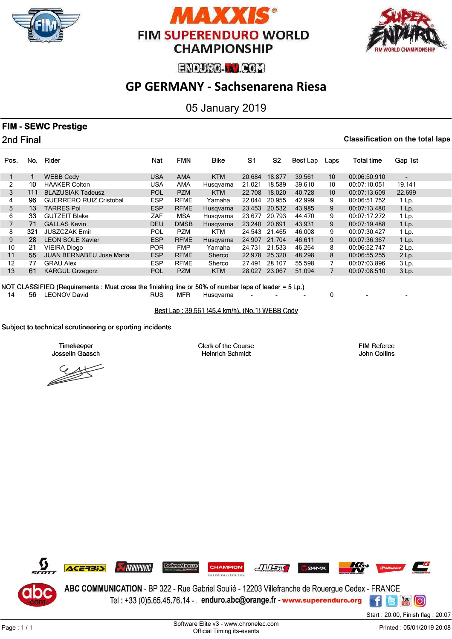





# **GP GERMANY - Sachsenarena Riesa**

05 January 2019

## **FIM - SEWC Prestige**

2nd Final

#### **Classification on the total laps**

| Pos. | No. | Rider                           | Nat        | <b>FMN</b>  | Bike       | S1     | S2     | Best Lap | Laps            | <b>Total time</b> | Gap 1st                  |
|------|-----|---------------------------------|------------|-------------|------------|--------|--------|----------|-----------------|-------------------|--------------------------|
|      |     |                                 |            |             |            |        |        |          |                 |                   |                          |
|      |     | <b>WEBB Cody</b>                | <b>USA</b> | <b>AMA</b>  | <b>KTM</b> | 20.684 | 18.877 | 39.561   | 10              | 00:06:50.910      | $\overline{\phantom{0}}$ |
|      | 10  | <b>HAAKER Colton</b>            | USA        | <b>AMA</b>  | Husgvarna  | 21.021 | 18.589 | 39.610   | 10              | 00:07:10.051      | 19.141                   |
| 3    | 111 | <b>BLAZUSIAK Tadeusz</b>        | <b>POL</b> | <b>PZM</b>  | <b>KTM</b> | 22.708 | 18.020 | 40.728   | 10 <sup>1</sup> | 00:07:13.609      | 22.699                   |
| 4    | 96  | <b>GUERRERO RUIZ Cristobal</b>  | <b>ESP</b> | <b>RFME</b> | Yamaha     | 22.044 | 20.955 | 42.999   | 9               | 00:06:51.752      | 1 Lp.                    |
| 5    | 13  | <b>TARRES Pol</b>               | <b>ESP</b> | <b>RFME</b> | Husgvarna  | 23.453 | 20.532 | 43.985   | 9               | 00:07:13.480      | $1$ Lp.                  |
| 6    | 33  | <b>GUTZEIT Blake</b>            | ZAF        | <b>MSA</b>  | Husgvarna  | 23.677 | 20.793 | 44.470   | 9               | 00:07:17.272      | 1 Lp.                    |
|      | 71  | <b>GALLAS Kevin</b>             | <b>DEU</b> | <b>DMSB</b> | Husgvarna  | 23.240 | 20.691 | 43.931   | 9               | 00:07:19.488      | $1$ Lp.                  |
| 8    | 321 | <b>JUSZCZAK Emil</b>            | <b>POL</b> | <b>PZM</b>  | <b>KTM</b> | 24.543 | 21.465 | 46.008   | 9               | 00:07:30.427      | $1$ Lp.                  |
| 9    | 28  | <b>LEON SOLE Xavier</b>         | <b>ESP</b> | <b>RFME</b> | Husqvarna  | 24.907 | 21.704 | 46.611   | 9               | 00:07:36.367      | $1$ Lp.                  |
| 10   | 21  | <b>VIEIRA Diogo</b>             | <b>POR</b> | <b>FMP</b>  | Yamaha     | 24.731 | 21.533 | 46.264   | 8               | 00:06:52.747      | 2 Lp.                    |
| 11   | 55  | <b>JUAN BERNABEU Jose Maria</b> | <b>ESP</b> | <b>RFME</b> | Sherco     | 22.978 | 25.320 | 48.298   | 8               | 00:06:55.255      | $2$ Lp.                  |
| 12   | 77  | <b>GRAU Alex</b>                | <b>ESP</b> | <b>RFME</b> | Sherco     | 27.491 | 28.107 | 55.598   | 7               | 00:07:03.896      | 3 Lp.                    |
| 13   | 61  | <b>KARGUL Grzegorz</b>          | <b>POL</b> | <b>PZM</b>  | <b>KTM</b> | 28.027 | 23.067 | 51.094   | 7               | 00:07:08.510      | $3$ Lp.                  |
|      |     |                                 |            |             |            |        |        |          |                 |                   |                          |

NOT CLASSIFIED (Requirements: Must cross the finishing line or 50% of number laps of leader =  $5 \text{ Lp.}$ )

14 56 LEONOV David **RUS MFR Husqvarna** - - - - 0

Best Lap: 39.561 (45.4 km/h), (No.1) WEBB Cody

#### Subject to technical scrutineering or sporting incidents

Timekeeper Josselin Gaasch

Clerk of the Course **Heinrich Schmidt** 

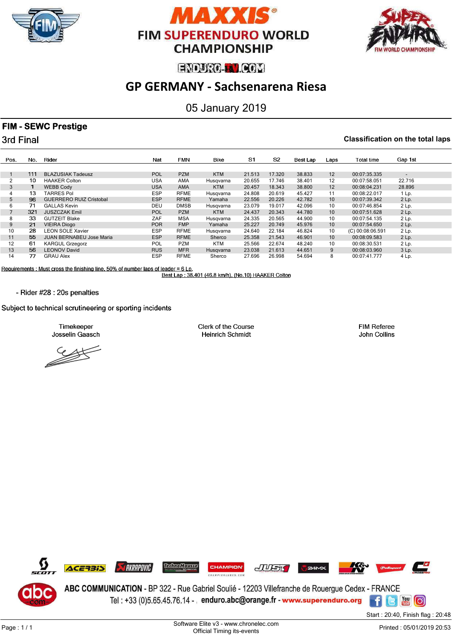





# **GP GERMANY - Sachsenarena Riesa**

## 05 January 2019

### **FIM - SEWC Prestige**

3rd Final

#### **Classification on the total laps**

| Pos.             | No. | Rider                           | Nat        | <b>FMN</b>  | Bike       | S1     | S <sub>2</sub> | Best Lap | Laps | Total time       | Gap 1st                  |
|------------------|-----|---------------------------------|------------|-------------|------------|--------|----------------|----------|------|------------------|--------------------------|
|                  |     |                                 |            |             |            |        |                |          |      |                  |                          |
|                  | 111 | <b>BLAZUSIAK Tadeusz</b>        | <b>POL</b> | <b>PZM</b>  | <b>KTM</b> | 21.513 | 17.320         | 38.833   | 12   | 00:07:35.335     | $\overline{\phantom{0}}$ |
| 2                | 10  | <b>HAAKER Colton</b>            | <b>USA</b> | AMA         | Husgvarna  | 20.655 | 17.746         | 38.401   | 12   | 00:07:58.051     | 22.716                   |
| 3                |     | <b>WEBB Cody</b>                | <b>USA</b> | AMA         | <b>KTM</b> | 20.457 | 18.343         | 38.800   | 12   | 00:08:04.231     | 28.896                   |
|                  | 13  | TARRES Pol                      | <b>ESP</b> | <b>RFME</b> | Husgvarna  | 24.808 | 20.619         | 45.427   | 11   | 00:08:22.017     | 1 Lp.                    |
| 5                | 96  | <b>GUERRERO RUIZ Cristobal</b>  | <b>ESP</b> | <b>RFME</b> | Yamaha     | 22.556 | 20.226         | 42.782   | 10   | 00:07:39.342     | $2$ Lp.                  |
| 6                | 71  | <b>GALLAS Kevin</b>             | DEU        | <b>DMSB</b> | Husgvarna  | 23.079 | 19.017         | 42.096   | 10   | 00:07:46.854     | $2$ Lp.                  |
|                  | 321 | <b>JUSZCZAK Emil</b>            | <b>POL</b> | <b>PZM</b>  | <b>KTM</b> | 24.437 | 20.343         | 44.780   | 10   | 00:07:51.628     | $2$ Lp.                  |
| 8                | 33  | <b>GUTZEIT Blake</b>            | ZAF        | <b>MSA</b>  | Husgvarna  | 24.335 | 20.565         | 44.900   | 10   | 00:07:54.135     | 2 Lp.                    |
| 9                | 21  | <b>VIEIRA Diogo</b>             | <b>POR</b> | <b>FMP</b>  | Yamaha     | 25.227 | 20.749         | 45.976   | 10   | 00:07:54.650     | 2 Lp.                    |
| 10 <sup>10</sup> | 28  | <b>LEON SOLE Xavier</b>         | <b>ESP</b> | <b>RFME</b> | Husgvarna  | 24.640 | 22.184         | 46.824   | 10   | (C) 00:08:06.591 | $2$ Lp.                  |
| 11               | 55  | <b>JUAN BERNABEU Jose Maria</b> | <b>ESP</b> | <b>RFME</b> | Sherco     | 25.358 | 21.543         | 46.901   | 10   | 00:08:09.583     | $2$ Lp.                  |
| 12               | 61  | <b>KARGUL Grzegorz</b>          | <b>POL</b> | <b>PZM</b>  | <b>KTM</b> | 25.566 | 22.674         | 48.240   | 10   | 00:08:30.531     | 2 Lp.                    |
| 13               | 56  | <b>LEONOV David</b>             | <b>RUS</b> | <b>MFR</b>  | Husgvarna  | 23.038 | 21.613         | 44.651   | 9    | 00:08:03.960     | 3 Lp.                    |
| 14               | 77  | <b>GRAU Alex</b>                | <b>ESP</b> | <b>RFME</b> | Sherco     | 27.696 | 26.998         | 54.694   | 8    | 00:07:41.777     | 4 Lp.                    |

Requirements : Must cross the finishing line, 50% of number laps of leader = 6 Lp.<br>Best Lap : 38.401 (46.8 km/h), (No.10) HAAKER Colton

- Rider #28 : 20s penalties

Subject to technical scrutineering or sporting incidents

Timekeeper Josselin Gaasch

 $\rightarrow$ 

Clerk of the Course **Heinrich Schmidt** 

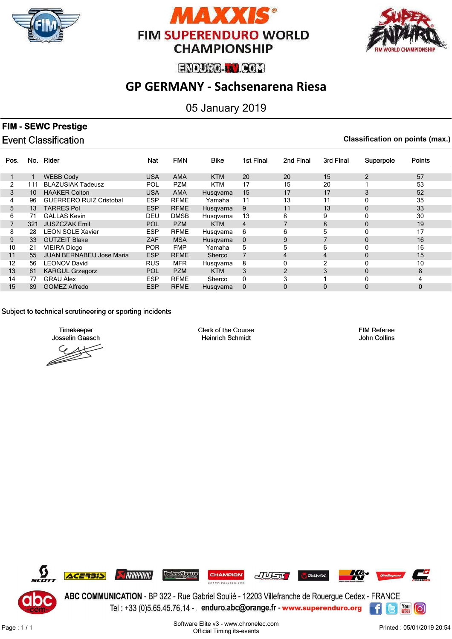





# **GP GERMANY - Sachsenarena Riesa**

05 January 2019

## **FIM - SEWC Prestige**

**Event Classification** 

**Classification on points (max.)**

| Pos. | No.          | Rider                           | Nat        | <b>FMN</b>  | Bike       | 1st Final    | 2nd Final | 3rd Final | Superpole      | <b>Points</b> |
|------|--------------|---------------------------------|------------|-------------|------------|--------------|-----------|-----------|----------------|---------------|
|      |              |                                 |            |             |            |              |           |           |                |               |
|      |              | <b>WEBB Cody</b>                | <b>USA</b> | <b>AMA</b>  | <b>KTM</b> | 20           | 20        | 15        | $\overline{2}$ | 57            |
| 2    | 111          | <b>BLAZUSIAK Tadeusz</b>        | POL        | <b>PZM</b>  | <b>KTM</b> | 17           | 15        | 20        |                | 53            |
| 3    | $10^{\circ}$ | <b>HAAKER Colton</b>            | <b>USA</b> | <b>AMA</b>  | Husqvarna  | 15           | 17        | 17        | 3              | 52            |
| 4    | 96           | <b>GUERRERO RUIZ Cristobal</b>  | <b>ESP</b> | <b>RFME</b> | Yamaha     | 11           | 13        | 11        | 0              | 35            |
| 5    | 13           | <b>TARRES Pol</b>               | <b>ESP</b> | <b>RFME</b> | Husgvarna  | 9            | 11        | 13        | $\mathbf{0}$   | 33            |
| 6    | 71           | <b>GALLAS Kevin</b>             | DEU        | <b>DMSB</b> | Husgvarna  | 13           | 8         | 9         | 0              | 30            |
|      | 321          | <b>JUSZCZAK Emil</b>            | <b>POL</b> | <b>PZM</b>  | <b>KTM</b> | 4            |           | 8         | $\mathbf{0}$   | 19            |
| 8    | 28           | <b>LEON SOLE Xavier</b>         | <b>ESP</b> | <b>RFME</b> | Husgvarna  | 6            | 6         | 5         | 0              | 17            |
| 9    | 33           | <b>GUTZEIT Blake</b>            | ZAF        | <b>MSA</b>  | Husqvarna  | $\mathbf{0}$ | 9         | 7         | $\mathbf{0}$   | 16            |
| 10   | 21           | <b>VIEIRA Diogo</b>             | <b>POR</b> | <b>FMP</b>  | Yamaha     | 5            | 5         | 6         | O              | 16            |
| 11   | 55           | <b>JUAN BERNABEU Jose Maria</b> | <b>ESP</b> | <b>RFME</b> | Sherco     | 7            | 4         | 4         | $\mathbf 0$    | 15            |
| 12   | 56           | <b>LEONOV David</b>             | <b>RUS</b> | <b>MFR</b>  | Husqvarna  | 8            |           | 2         | 0              | 10            |
| 13   | 61           | <b>KARGUL Grzegorz</b>          | POL        | <b>PZM</b>  | <b>KTM</b> | 3            | 2         | 3         | $\mathbf{0}$   | 8             |
| 14   | 77           | <b>GRAU Alex</b>                | <b>ESP</b> | <b>RFME</b> | Sherco     | 0            | 3         |           | 0              | 4             |
| 15   | 89           | <b>GOMEZ Alfredo</b>            | <b>ESP</b> | <b>RFME</b> | Husgvarna  | $\mathbf{0}$ | 0         | $\Omega$  | $\mathbf{0}$   | 0             |

Subject to technical scrutineering or sporting incidents

Timekeeper Josselin Gaasch

Clerk of the Course **Heinrich Schmidt** 

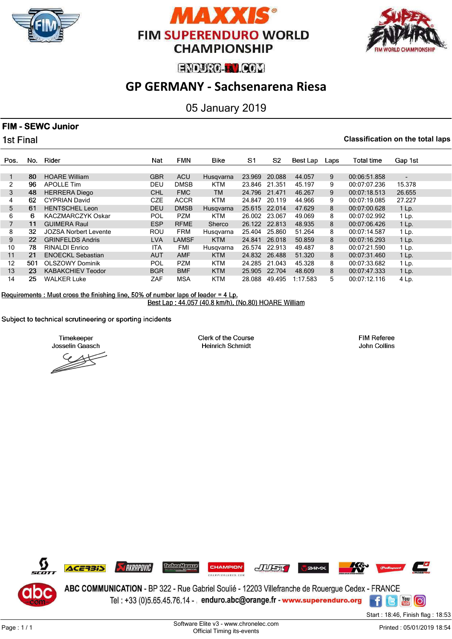





# **GP GERMANY - Sachsenarena Riesa**

05 January 2019

### **FIM - SEWC Junior**

1st Final

#### **Classification on the total laps**

| Pos.              | No. | Rider                    | Nat        | <b>FMN</b>   | <b>Bike</b> | S <sub>1</sub> | S <sub>2</sub> | Best Lap | Laps | <b>Total time</b> | Gap 1st                  |
|-------------------|-----|--------------------------|------------|--------------|-------------|----------------|----------------|----------|------|-------------------|--------------------------|
|                   |     |                          |            |              |             |                |                |          |      |                   |                          |
|                   | 80  | <b>HOARE William</b>     | <b>GBR</b> | <b>ACU</b>   | Husgvarna   | 23.969         | 20.088         | 44.057   | 9    | 00:06:51.858      | $\overline{\phantom{0}}$ |
| 2                 | 96  | <b>APOLLE Tim</b>        | DEU        | <b>DMSB</b>  | KTM         | 23.846         | 21.351         | 45.197   | 9    | 00:07:07.236      | 15.378                   |
| 3                 | 48  | <b>HERRERA Diego</b>     | <b>CHL</b> | <b>FMC</b>   | <b>TM</b>   | 24.796         | 21.471         | 46.267   | 9    | 00:07:18.513      | 26.655                   |
| 4                 | 62  | <b>CYPRIAN David</b>     | <b>CZE</b> | <b>ACCR</b>  | <b>KTM</b>  | 24.847         | 20.119         | 44.966   | 9    | 00:07:19.085      | 27.227                   |
| 5                 | 61  | <b>HENTSCHEL Leon</b>    | <b>DEU</b> | <b>DMSB</b>  | Husgvarna   | 25.615         | 22.014         | 47.629   | 8    | 00:07:00.628      | $1$ Lp.                  |
| 6                 | 6   | <b>KACZMARCZYK Oskar</b> | POL        | <b>PZM</b>   | <b>KTM</b>  | 26.002         | 23.067         | 49.069   | 8    | 00:07:02.992      | 1 Lp.                    |
|                   | 11  | <b>GUIMERA Raul</b>      | <b>ESP</b> | <b>RFME</b>  | Sherco      | 26.122         | 22.813         | 48.935   | 8    | 00:07:06.426      | $1$ Lp.                  |
| 8                 | 32  | JOZSA Norbert Levente    | <b>ROU</b> | <b>FRM</b>   | Husgvarna   | 25.404         | 25.860         | 51.264   | 8    | 00:07:14.587      | 1 Lp.                    |
| 9                 | 22  | <b>GRINFELDS Andris</b>  | <b>LVA</b> | <b>LAMSF</b> | <b>KTM</b>  | 24.841         | 26,018         | 50.859   | 8    | 00:07:16.293      | $1$ Lp.                  |
| 10                | 78  | <b>RINALDI Enrico</b>    | <b>ITA</b> | FMI          | Husgvarna   | 26.574         | 22.913         | 49.487   | 8    | 00:07:21.590      | 1 Lp.                    |
| 11                | 21  | <b>ENOECKL Sebastian</b> | <b>AUT</b> | <b>AMF</b>   | <b>KTM</b>  | 24.832         | 26.488         | 51.320   | 8    | 00:07:31.460      | $1$ Lp.                  |
| $12 \overline{ }$ | 501 | <b>OLSZOWY Dominik</b>   | <b>POL</b> | <b>PZM</b>   | <b>KTM</b>  | 24.285         | 21.043         | 45.328   | 8    | 00:07:33.682      | 1 Lp.                    |
| 13                | 23  | <b>KABAKCHIEV Teodor</b> | <b>BGR</b> | <b>BMF</b>   | <b>KTM</b>  | 25.905         | 22.704         | 48.609   | 8    | 00:07:47.333      | $1$ Lp.                  |
| 14                | 25  | <b>WALKER Luke</b>       | ZAF        | <b>MSA</b>   | <b>KTM</b>  | 28.088         | 49.495         | 1:17.583 | 5    | 00:07:12.116      | 4 Lp.                    |

Requirements : Must cross the finishing line, 50% of number laps of leader =  $4 \text{ Lp}$ . Best Lap: 44.057 (40.8 km/h), (No.80) HOARE William

Subject to technical scrutineering or sporting incidents

Timekeeper Josselin Gaasch

Clerk of the Course **Heinrich Schmidt** 

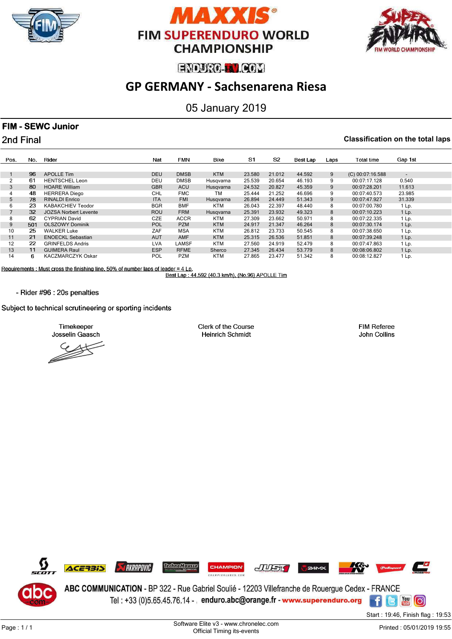





# **GP GERMANY - Sachsenarena Riesa**

## 05 January 2019

### **FIM - SEWC Junior**

2nd Final

#### **Classification on the total laps**

| Pos. | No. | Rider                        | Nat        | <b>FMN</b>   | <b>Bike</b> | S <sub>1</sub> | S <sub>2</sub> | Best Lap | Laps | Total time       | Gap 1st                  |
|------|-----|------------------------------|------------|--------------|-------------|----------------|----------------|----------|------|------------------|--------------------------|
|      |     |                              |            |              |             |                |                |          |      |                  |                          |
|      |     |                              |            |              |             |                |                |          |      |                  |                          |
|      | 96. | APOLLE Tim                   | <b>DEU</b> | <b>DMSB</b>  | <b>KTM</b>  | 23.580         | 21.012         | 44.592   | 9    | (C) 00:07:16.588 | $\overline{\phantom{0}}$ |
|      | 61  | <b>HENTSCHEL Leon</b>        | DEU        | <b>DMSB</b>  | Husgvarna   | 25.539         | 20.654         | 46.193   | 9    | 00:07:17.128     | 0.540                    |
| 3    | 80  | <b>HOARE William</b>         | <b>GBR</b> | <b>ACU</b>   | Husgvarna   | 24.532         | 20.827         | 45.359   | 9    | 00:07:28.201     | 11.613                   |
|      | 48  | <b>HERRERA</b> Diego         | <b>CHL</b> | <b>FMC</b>   | ТM          | 25.444         | 21.252         | 46.696   | 9    | 00:07:40.573     | 23.985                   |
| 5    | 78  | <b>RINALDI Enrico</b>        | <b>ITA</b> | <b>FMI</b>   | Husgvarna   | 26.894         | 24,449         | 51.343   | 9    | 00:07:47.927     | 31.339                   |
| 6    | 23  | <b>KABAKCHIEV Teodor</b>     | <b>BGR</b> | <b>BMF</b>   | <b>KTM</b>  | 26.043         | 22.397         | 48.440   | 8    | 00:07:00.780     | 1 Lp.                    |
|      | 32  | <b>JOZSA Norbert Levente</b> | <b>ROU</b> | <b>FRM</b>   | Husgvarna   | 25.391         | 23.932         | 49.323   | 8    | 00:07:10.223     | $1$ Lp.                  |
| 8    | 62  | <b>CYPRIAN David</b>         | <b>CZE</b> | <b>ACCR</b>  | KTM         | 27.309         | 23.662         | 50.971   | 8    | 00:07:22.335     | 1 Lp.                    |
| 9    | 501 | <b>OLSZOWY Dominik</b>       | <b>POL</b> | <b>PZM</b>   | <b>KTM</b>  | 24.917         | 21.347         | 46.264   | 8    | 00:07:30.174     | $1$ Lp.                  |
| 10   | 25  | <b>WALKER Luke</b>           | ZAF        | <b>MSA</b>   | <b>KTM</b>  | 26.812         | 23.733         | 50.545   | 8    | 00:07:38.650     | 1 Lp.                    |
| 11   | 21  | <b>ENOECKL Sebastian</b>     | <b>AUT</b> | <b>AMF</b>   | <b>KTM</b>  | 25.315         | 26.536         | 51.851   | 8    | 00:07:39.248     | 1 Lp.                    |
| 12   | 22  | <b>GRINFELDS Andris</b>      | <b>LVA</b> | <b>LAMSF</b> | <b>KTM</b>  | 27.560         | 24.919         | 52.479   | 8    | 00:07:47.863     | 1 Lp.                    |
| 13   | 11  | <b>GUIMERA Raul</b>          | <b>ESP</b> | <b>RFME</b>  | Sherco      | 27.345         | 26.434         | 53.779   | 8    | 00:08:06.802     | 1 Lp.                    |
| 14   | 6   | <b>KACZMARCZYK Oskar</b>     | POL        | <b>PZM</b>   | <b>KTM</b>  | 27.865         | 23.477         | 51.342   | 8    | 00:08:12.827     | 1 Lp.                    |

Requirements: Must cross the finishing line, 50% of number laps of leader =  $4 \text{ Lp}$ .

Best Lap: 44.592 (40.3 km/h), (No.96) APOLLE Tim

- Rider #96 : 20s penalties

Subject to technical scrutineering or sporting incidents

Timekeeper Josselin Gaasch

Clerk of the Course **Heinrich Schmidt** 

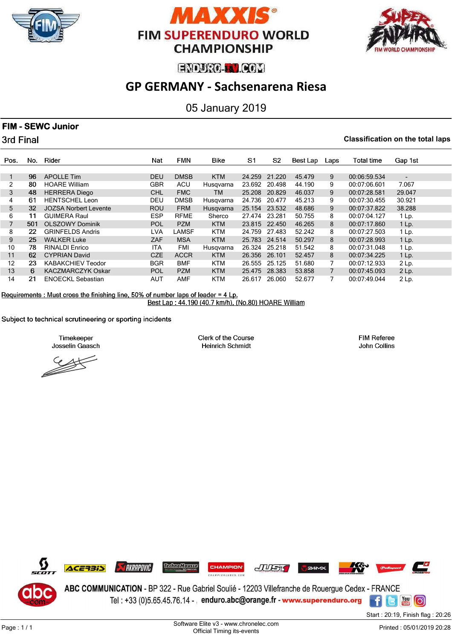





# **GP GERMANY - Sachsenarena Riesa**

05 January 2019

### **FIM - SEWC Junior**

3rd Final

#### **Classification on the total laps**

| Pos. | No. | Rider                        | Nat        | <b>FMN</b>  | <b>Bike</b> | S <sub>1</sub> | S <sub>2</sub> | Best Lap | Laps           | <b>Total time</b> | Gap 1st                  |
|------|-----|------------------------------|------------|-------------|-------------|----------------|----------------|----------|----------------|-------------------|--------------------------|
|      |     |                              |            |             |             |                |                |          |                |                   |                          |
|      | 96  | <b>APOLLE Tim</b>            | <b>DEU</b> | <b>DMSB</b> | <b>KTM</b>  | 24.259         | 21.220         | 45.479   | 9              | 00:06:59.534      | $\overline{\phantom{0}}$ |
| 2    | 80  | <b>HOARE William</b>         | GBR        | <b>ACU</b>  | Husqvarna   | 23.692         | 20.498         | 44.190   | 9              | 00:07:06.601      | 7.067                    |
| 3    | 48  | <b>HERRERA Diego</b>         | <b>CHL</b> | <b>FMC</b>  | TM          | 25.208         | 20.829         | 46.037   | 9              | 00:07:28.581      | 29.047                   |
| 4    | 61  | <b>HENTSCHEL Leon</b>        | DEU        | <b>DMSB</b> | Husgvarna   | 24.736         | 20.477         | 45.213   | 9              | 00:07:30.455      | 30.921                   |
| 5    | 32  | <b>JOZSA Norbert Levente</b> | <b>ROU</b> | <b>FRM</b>  | Husgvarna   | 25.154         | 23.532         | 48.686   | 9              | 00:07:37.822      | 38.288                   |
| 6    | 11  | <b>GUIMERA Raul</b>          | <b>ESP</b> | <b>RFME</b> | Sherco      | 27.474         | 23.281         | 50.755   | 8              | 00:07:04.127      | $1$ Lp.                  |
|      | 501 | <b>OLSZOWY Dominik</b>       | <b>POL</b> | <b>PZM</b>  | <b>KTM</b>  |                | 23.815 22.450  | 46.265   | 8              | 00:07:17.860      | 1 Lp.                    |
| 8    | 22  | <b>GRINFELDS Andris</b>      | <b>LVA</b> | LAMSF       | <b>KTM</b>  | 24.759         | 27.483         | 52.242   | 8              | 00:07:27.503      | $1$ Lp.                  |
| 9    | 25  | <b>WALKER Luke</b>           | <b>ZAF</b> | <b>MSA</b>  | <b>KTM</b>  | 25.783         | 24.514         | 50.297   | 8              | 00:07:28.993      | $1$ Lp.                  |
| 10   | 78  | <b>RINALDI Enrico</b>        | <b>ITA</b> | <b>FMI</b>  | Husqvarna   | 26.324         | 25.218         | 51.542   | 8              | 00:07:31.048      | 1 Lp.                    |
| 11   | 62  | <b>CYPRIAN David</b>         | <b>CZE</b> | <b>ACCR</b> | <b>KTM</b>  | 26.356         | 26.101         | 52.457   | 8              | 00:07:34.225      | $1$ Lp.                  |
| 12   | 23  | <b>KABAKCHIEV Teodor</b>     | <b>BGR</b> | <b>BMF</b>  | <b>KTM</b>  | 26.555         | 25.125         | 51.680   | 7              | 00:07:12.933      | 2 Lp.                    |
| 13   | 6   | <b>KACZMARCZYK Oskar</b>     | <b>POL</b> | <b>PZM</b>  | <b>KTM</b>  | 25.475         | 28.383         | 53.858   | $\overline{7}$ | 00:07:45.093      | $2$ Lp.                  |
| 14   | 21  | <b>ENOECKL Sebastian</b>     | AUT        | <b>AMF</b>  | <b>KTM</b>  | 26.617         | 26.060         | 52.677   |                | 00:07:49.044      | 2 Lp.                    |

Requirements : Must cross the finishing line, 50% of number laps of leader =  $4 \text{ Lp}$ . Best Lap: 44.190 (40.7 km/h), (No.80) HOARE William

Subject to technical scrutineering or sporting incidents

Timekeeper Josselin Gaasch

Clerk of the Course **Heinrich Schmidt** 

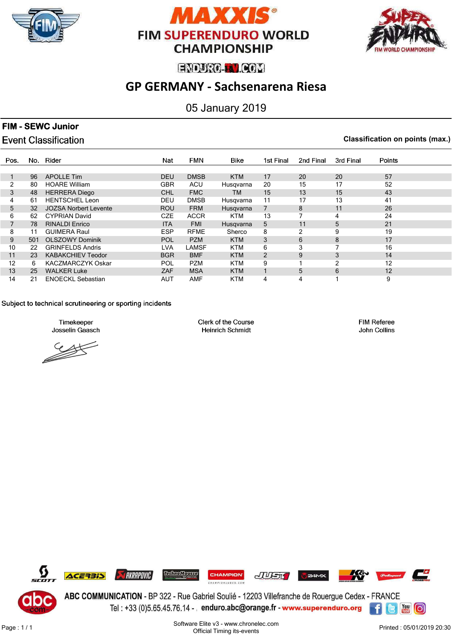





# **GP GERMANY - Sachsenarena Riesa**

## 05 January 2019

### **FIM - SEWC Junior**

## **Event Classification**

**Classification on points (max.)**

| Pos. | No. | Rider                        | Nat        | <b>FMN</b>  | <b>Bike</b> | 1st Final      | 2nd Final | 3rd Final | Points |
|------|-----|------------------------------|------------|-------------|-------------|----------------|-----------|-----------|--------|
|      |     |                              |            |             |             |                |           |           |        |
|      | 96  | <b>APOLLE Tim</b>            | <b>DEU</b> | <b>DMSB</b> | <b>KTM</b>  | 17             | 20        | 20        | 57     |
| 2    | 80  | <b>HOARE William</b>         | <b>GBR</b> | <b>ACU</b>  | Husgvarna   | 20             | 15        | 17        | 52     |
| 3    | 48  | <b>HERRERA Diego</b>         | <b>CHL</b> | <b>FMC</b>  | TM          | 15             | 13        | 15        | 43     |
| 4    | 61  | <b>HENTSCHEL Leon</b>        | <b>DEU</b> | <b>DMSB</b> | Husqvarna   | 11             | 17        | 13        | 41     |
| 5    | 32  | <b>JOZSA Norbert Levente</b> | <b>ROU</b> | <b>FRM</b>  | Husgvarna   | 7              | 8         | 11        | 26     |
| 6    | 62  | <b>CYPRIAN David</b>         | <b>CZE</b> | <b>ACCR</b> | <b>KTM</b>  | 13             |           | 4         | 24     |
|      | 78  | <b>RINALDI Enrico</b>        | <b>ITA</b> | <b>FMI</b>  | Husgvarna   | 5              | 11        | 5         | 21     |
| 8    | 11  | <b>GUIMERA Raul</b>          | <b>ESP</b> | <b>RFME</b> | Sherco      | 8              | 2         | 9         | 19     |
| 9    | 501 | <b>OLSZOWY Dominik</b>       | <b>POL</b> | <b>PZM</b>  | <b>KTM</b>  | 3              | 6         | 8         | 17     |
| 10   | 22  | <b>GRINFELDS Andris</b>      | <b>LVA</b> | LAMSF       | <b>KTM</b>  | 6              | 3         | 7         | 16     |
| 11   | 23  | <b>KABAKCHIEV Teodor</b>     | <b>BGR</b> | <b>BMF</b>  | <b>KTM</b>  | $\overline{2}$ | 9         | 3         | 14     |
| 12   | 6.  | <b>KACZMARCZYK Oskar</b>     | <b>POL</b> | <b>PZM</b>  | KTM         | 9              |           | 2         | 12     |
| 13   | 25  | <b>WALKER Luke</b>           | <b>ZAF</b> | <b>MSA</b>  | <b>KTM</b>  |                | 5         | 6         | 12     |
| 14   | 21  | <b>ENOECKL Sebastian</b>     | <b>AUT</b> | <b>AMF</b>  | <b>KTM</b>  | 4              | 4         |           | 9      |

#### Subject to technical scrutineering or sporting incidents

Timekeeper Josselin Gaasch

Clerk of the Course **Heinrich Schmidt** 

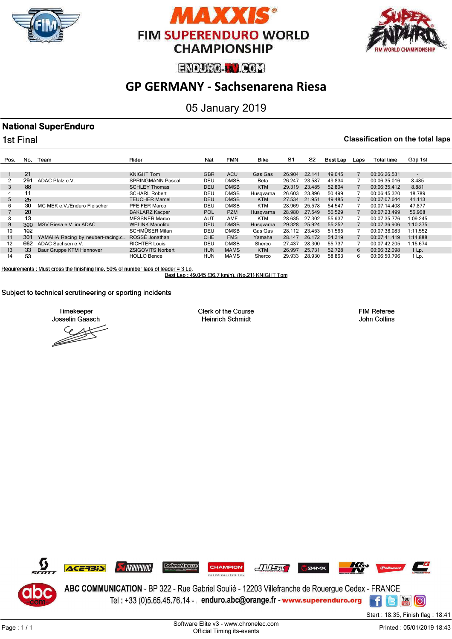





# **GP GERMANY - Sachsenarena Riesa**

## 05 January 2019

## **National SuperEnduro**

1st Final

I

#### **Classification on the total laps**

| Pos.           | No. | Team                              | Rider                    | Nat        | <b>FMN</b>  | <b>Bike</b> | S <sub>1</sub> | S2     | Best Lap | Laps | Total time   | Gap 1st                  |
|----------------|-----|-----------------------------------|--------------------------|------------|-------------|-------------|----------------|--------|----------|------|--------------|--------------------------|
|                |     |                                   |                          |            |             |             |                |        |          |      |              |                          |
|                | 21  |                                   | <b>KNIGHT Tom</b>        | <b>GBR</b> | <b>ACU</b>  | Gas Gas     | 26.904         | 22.141 | 49.045   |      | 00:06:26.531 | $\overline{\phantom{0}}$ |
| 2              | 291 | ADAC Pfalz e.V.                   | <b>SPRINGMANN Pascal</b> | DEU        | <b>DMSB</b> | Beta        | 26.247         | 23.587 | 49.834   |      | 00:06:35.016 | 8.485                    |
| 3              | 88  |                                   | <b>SCHLEY Thomas</b>     | <b>DEU</b> | <b>DMSB</b> | <b>KTM</b>  | 29.319         | 23.485 | 52.804   |      | 00:06:35.412 | 8.881                    |
| $\overline{4}$ |     |                                   | <b>SCHARL Robert</b>     | DEU        | <b>DMSB</b> | Husgvarna   | 26.603         | 23.896 | 50.499   |      | 00:06:45.320 | 18.789                   |
| 5              | 25  |                                   | <b>TEUCHER Marcel</b>    | <b>DEU</b> | <b>DMSB</b> | <b>KTM</b>  | 27.534         | 21.951 | 49.485   |      | 00:07:07.644 | 41.113                   |
| 6              | 30  | MC MEK e.V./Enduro Fleischer      | PFEIFER Marco            | DEU        | <b>DMSB</b> | KTM         | 28.969         | 25.578 | 54.547   |      | 00:07:14.408 | 47.877                   |
|                | 20  |                                   | <b>BAKLARZ Kacper</b>    | <b>POL</b> | <b>PZM</b>  | Husqvarna   | 28.980         | 27.549 | 56.529   |      | 00:07:23.499 | 56.968                   |
| 8              | 13  |                                   | <b>MESSNER Marco</b>     | <b>AUT</b> | <b>AMF</b>  | KTM         | 28.635         | 27.302 | 55.937   |      | 00:07:35.776 | 1:09.245                 |
| 9              | 300 | MSV Riesa e.V. im ADAC            | <b>WELINK Manolito</b>   | <b>DEU</b> | <b>DMSB</b> | Husqvarna   | 29.328         | 25.924 | 55.252   |      | 00:07:36.906 | 1:10.375                 |
| 10             | 102 |                                   | SCHMÜSER Milan           | DEU        | <b>DMSB</b> | Gas Gas     | 28.112         | 23.453 | 51.565   |      | 00:07:38.083 | 1:11.552                 |
| 11             | 301 | YAMAHA Racing by neubert-racing.c | ROSSÉ Jonathan           | <b>CHE</b> | <b>FMS</b>  | Yamaha      | 28.147         | 26.172 | 54.319   |      | 00:07:41.419 | 1:14.888                 |
| 12             | 662 | ADAC Sachsen e.V.                 | <b>RICHTER Louis</b>     | DEU        | <b>DMSB</b> | Sherco      | 27.437         | 28,300 | 55.737   |      | 00:07:42.205 | 1:15.674                 |
| 13             | 33  | Baur Gruppe KTM Hannover          | <b>ZSIGOVITS Norbert</b> | <b>HUN</b> | <b>MAMS</b> | <b>KTM</b>  | 26.997         | 25.731 | 52.728   | 6    | 00:06:32.098 | $1$ Lp.                  |
| 14             | 53  |                                   | <b>HOLLO Bence</b>       | HUN        | <b>MAMS</b> | Sherco      | 29.933         | 28.930 | 58.863   | 6    | 00:06:50.796 | 1 Lp.                    |

Requirements : Must cross the finishing line, 50% of number laps of leader = 3 Lp.

Best Lap: 49.045 (36.7 km/h), (No.21) KNIGHT Tom

Subject to technical scrutineering or sporting incidents

Timekeeper Josselin Gaasch

Clerk of the Course **Heinrich Schmidt** 

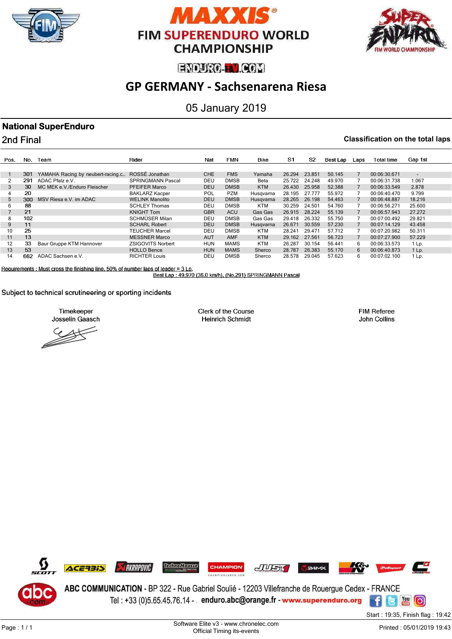





# **GP GERMANY - Sachsenarena Riesa**

## 05 January 2019

## **National SuperEnduro**

2nd Final

#### **Classification on the total laps**

| Pos.              | No. | Team                              | Rider                    | Nat        | <b>FMN</b>  | <b>Bike</b> | S1     | S2     | Best Lap | Laps | Total time   | Gap 1st                  |
|-------------------|-----|-----------------------------------|--------------------------|------------|-------------|-------------|--------|--------|----------|------|--------------|--------------------------|
|                   |     |                                   |                          |            |             |             |        |        |          |      |              |                          |
|                   | 301 | YAMAHA Racing by neubert-racing.c | ROSSÉ Jonathan           | <b>CHE</b> | <b>FMS</b>  | Yamaha      | 26.294 | 23.851 | 50.145   |      | 00:06:30.671 | $\overline{\phantom{0}}$ |
|                   | 291 | ADAC Pfalz e.V.                   | <b>SPRINGMANN Pascal</b> | DEU        | <b>DMSB</b> | Beta        | 25.722 | 24.248 | 49.970   |      | 00:06:31.738 | 1.067                    |
| 3                 | 30  | MC MEK e.V./Enduro Fleischer      | <b>PFEIFER Marco</b>     | <b>DEU</b> | <b>DMSB</b> | <b>KTM</b>  | 26.430 | 25.958 | 52.388   |      | 00:06:33.549 | 2.878                    |
|                   | 20  |                                   | <b>BAKLARZ Kacper</b>    | <b>POL</b> | <b>PZM</b>  | Husgvarna   | 28.195 | 27.777 | 55.972   |      | 00:06:40.470 | 9.799                    |
| 5                 | 300 | MSV Riesa e.V. im ADAC            | <b>WELINK Manolito</b>   | <b>DEU</b> | <b>DMSB</b> | Husgvarna   | 28.265 | 26.198 | 54,463   |      | 00:06:48.887 | 18.216                   |
| 6                 | 88  |                                   | <b>SCHLEY Thomas</b>     | DEU        | <b>DMSB</b> | KTM         | 30.259 | 24.501 | 54.760   |      | 00:06:56.271 | 25.600                   |
|                   | 21  |                                   | <b>KNIGHT Tom</b>        | <b>GBR</b> | <b>ACU</b>  | Gas Gas     | 26.915 | 28.224 | 55.139   |      | 00:06:57.943 | 27.272                   |
| 8                 | 102 |                                   | SCHMÜSER Milan           | DEU        | <b>DMSB</b> | Gas Gas     | 29.418 | 26.332 | 55.750   |      | 00:07:00.492 | 29.821                   |
| 9                 | 11  |                                   | <b>SCHARL Robert</b>     | <b>DEU</b> | <b>DMSB</b> | Husqvarna   | 26.671 | 30.559 | 57.230   |      | 00:07:14.129 | 43.458                   |
| 10                | 25  |                                   | <b>TEUCHER Marcel</b>    | DEU        | <b>DMSB</b> | KTM         | 28.241 | 29.471 | 57.712   |      | 00:07:20.982 | 50.311                   |
| 11                | 13  |                                   | <b>MESSNER Marco</b>     | <b>AUT</b> | <b>AMF</b>  | <b>KTM</b>  | 29.162 | 27.561 | 56.723   |      | 00:07:27.900 | 57.229                   |
| $12 \overline{ }$ | 33  | Baur Gruppe KTM Hannover          | <b>ZSIGOVITS Norbert</b> | <b>HUN</b> | <b>MAMS</b> | <b>KTM</b>  | 26.287 | 30.154 | 56.441   | 6.   | 00:06:33.573 | 1 Lp.                    |
| 13                | 53  |                                   | <b>HOLLO Bence</b>       | <b>HUN</b> | <b>MAMS</b> | Sherco      | 28.787 | 26.383 | 55.170   | 6.   | 00:06:40.873 | 1 Lp.                    |
| 14                | 662 | ADAC Sachsen e.V.                 | <b>RICHTER Louis</b>     | DEL        | <b>DMSB</b> | Sherco      | 28.578 | 29.045 | 57.623   | 6    | 00:07:02.100 | 1 Lp.                    |

Requirements : Must cross the finishing line, 50% of number laps of leader = 3 Lp.<br>Best Lap : 49.970 (36.0 km/h), (No.291) SPRINGMANN Pascal

Subject to technical scrutineering or sporting incidents

Timekeeper Josselin Gaasch

Clerk of the Course **Heinrich Schmidt**